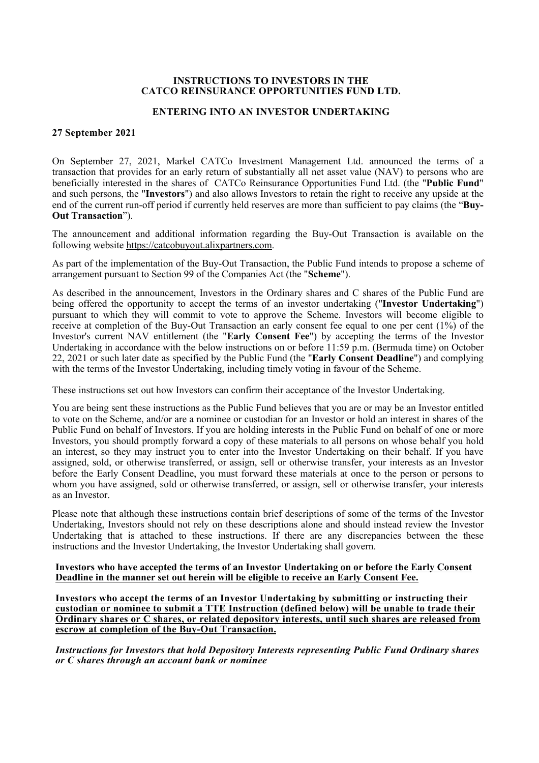#### **INSTRUCTIONS TO INVESTORS IN THE CATCO REINSURANCE OPPORTUNITIES FUND LTD.**

#### **ENTERING INTO AN INVESTOR UNDERTAKING**

#### **27 September 2021**

On September 27, 2021, Markel CATCo Investment Management Ltd. announced the terms of a transaction that provides for an early return of substantially all net asset value (NAV) to persons who are beneficially interested in the shares of CATCo Reinsurance Opportunities Fund Ltd. (the "**Public Fund**" and such persons, the "**Investors**") and also allows Investors to retain the right to receive any upside at the end of the current run-off period if currently held reserves are more than sufficient to pay claims (the "**Buy-Out Transaction**").

The announcement and additional information regarding the Buy-Out Transaction is available on the following website https://catcobuyout.alixpartners.com.

As part of the implementation of the Buy-Out Transaction, the Public Fund intends to propose a scheme of arrangement pursuant to Section 99 of the Companies Act (the "**Scheme**").

As described in the announcement, Investors in the Ordinary shares and C shares of the Public Fund are being offered the opportunity to accept the terms of an investor undertaking ("**Investor Undertaking**") pursuant to which they will commit to vote to approve the Scheme. Investors will become eligible to receive at completion of the Buy-Out Transaction an early consent fee equal to one per cent (1%) of the Investor's current NAV entitlement (the "**Early Consent Fee**") by accepting the terms of the Investor Undertaking in accordance with the below instructions on or before 11:59 p.m. (Bermuda time) on October 22, 2021 or such later date as specified by the Public Fund (the "**Early Consent Deadline**") and complying with the terms of the Investor Undertaking, including timely voting in favour of the Scheme.

These instructions set out how Investors can confirm their acceptance of the Investor Undertaking.

You are being sent these instructions as the Public Fund believes that you are or may be an Investor entitled to vote on the Scheme, and/or are a nominee or custodian for an Investor or hold an interest in shares of the Public Fund on behalf of Investors. If you are holding interests in the Public Fund on behalf of one or more Investors, you should promptly forward a copy of these materials to all persons on whose behalf you hold an interest, so they may instruct you to enter into the Investor Undertaking on their behalf. If you have assigned, sold, or otherwise transferred, or assign, sell or otherwise transfer, your interests as an Investor before the Early Consent Deadline, you must forward these materials at once to the person or persons to whom you have assigned, sold or otherwise transferred, or assign, sell or otherwise transfer, your interests as an Investor.

Please note that although these instructions contain brief descriptions of some of the terms of the Investor Undertaking, Investors should not rely on these descriptions alone and should instead review the Investor Undertaking that is attached to these instructions. If there are any discrepancies between the these instructions and the Investor Undertaking, the Investor Undertaking shall govern.

#### **Investors who have accepted the terms of an Investor Undertaking on or before the Early Consent Deadline in the manner set out herein will be eligible to receive an Early Consent Fee.**

**Investors who accept the terms of an Investor Undertaking by submitting or instructing their custodian or nominee to submit a TTE Instruction (defined below) will be unable to trade their Ordinary shares or C shares, or related depository interests, until such shares are released from escrow at completion of the Buy-Out Transaction.**

*Instructions for Investors that hold Depository Interests representing Public Fund Ordinary shares or C shares through an account bank or nominee*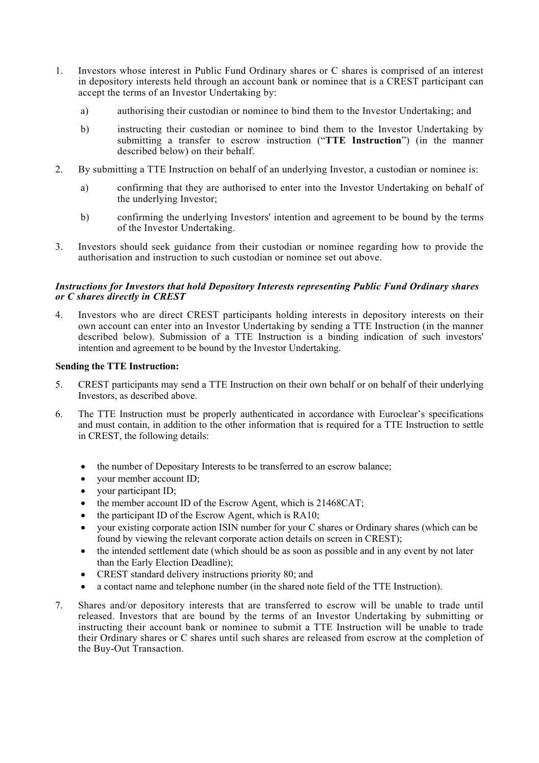- 1. Investors whose interest in Public Fund Ordinary shares or C shares is comprised of an interest in depository interests held through an account bank or nominee that is a CREST participant can accept the terms of an Investor Undertaking by:
	- a) authorising their custodian or nominee to bind them to the Investor Undertaking; and
	- b) instructing their custodian or nominee to bind them to the Investor Undertaking by submitting a transfer to escrow instruction ("**TTE Instruction**") (in the manner described below) on their behalf.
- 2. By submitting a TTE Instruction on behalf of an underlying Investor, a custodian or nominee is:
	- a) confirming that they are authorised to enter into the Investor Undertaking on behalf of the underlying Investor;
	- b) confirming the underlying Investors' intention and agreement to be bound by the terms of the Investor Undertaking.
- 3. Investors should seek guidance from their custodian or nominee regarding how to provide the authorisation and instruction to such custodian or nominee set out above.

## *Instructions for Investors that hold Depository Interests representing Public Fund Ordinary shares or C shares directly in CREST*

4. Investors who are direct CREST participants holding interests in depository interests on their own account can enter into an Investor Undertaking by sending a TTE Instruction (in the manner described below). Submission of a TTE Instruction is a binding indication of such investors' intention and agreement to be bound by the Investor Undertaking.

## **Sending the TTE Instruction:**

- 5. CREST participants may send a TTE Instruction on their own behalf or on behalf of their underlying Investors, as described above.
- 6. The TTE Instruction must be properly authenticated in accordance with Euroclear's specifications and must contain, in addition to the other information that is required for a TTE Instruction to settle in CREST, the following details:
	- the number of Depositary Interests to be transferred to an escrow balance;
	- vour member account ID:
	- vour participant ID:
	- the member account ID of the Escrow Agent, which is 21468CAT;
	- the participant ID of the Escrow Agent, which is RA10;
	- your existing corporate action ISIN number for your C shares or Ordinary shares (which can be found by viewing the relevant corporate action details on screen in CREST);
	- the intended settlement date (which should be as soon as possible and in any event by not later than the Early Election Deadline);
	- CREST standard delivery instructions priority 80; and
	- a contact name and telephone number (in the shared note field of the TTE Instruction).
- 7. Shares and/or depository interests that are transferred to escrow will be unable to trade until released. Investors that are bound by the terms of an Investor Undertaking by submitting or instructing their account bank or nominee to submit a TTE Instruction will be unable to trade their Ordinary shares or C shares until such shares are released from escrow at the completion of the Buy-Out Transaction.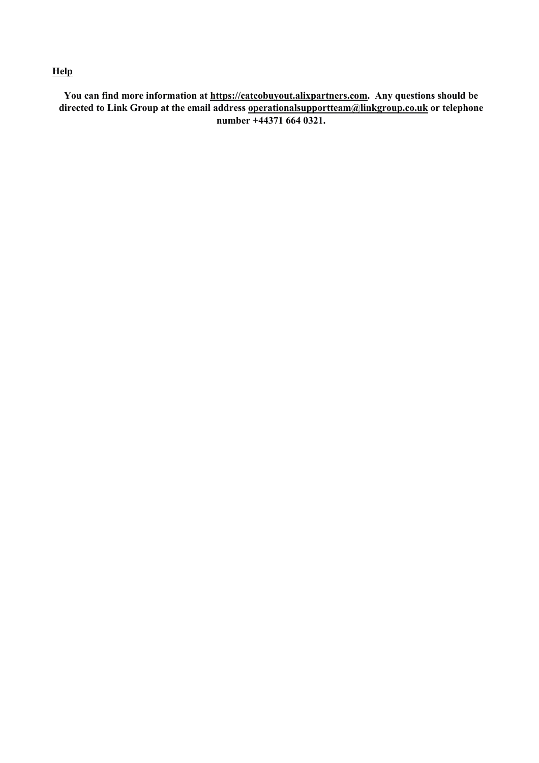## **Help**

**You can find more information at https://catcobuyout.alixpartners.com. Any questions should be directed to Link Group at the email address operationalsupportteam@linkgroup.co.uk or telephone number +44371 664 0321.**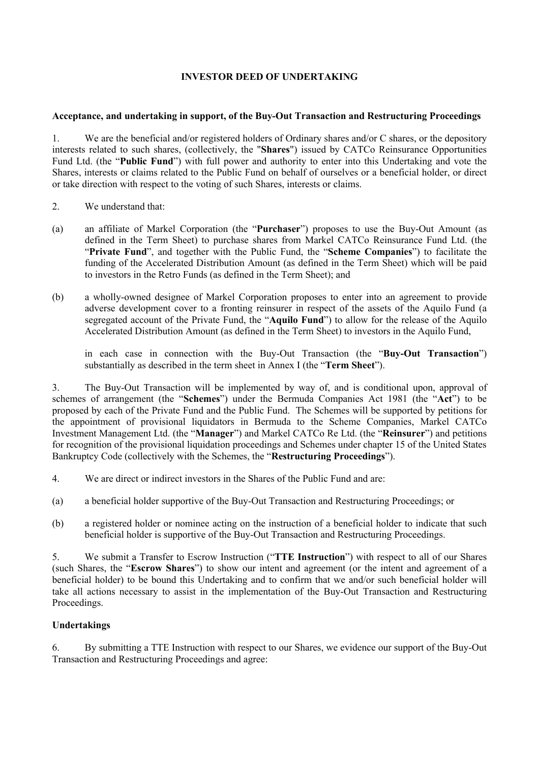# **INVESTOR DEED OF UNDERTAKING**

## **Acceptance, and undertaking in support, of the Buy-Out Transaction and Restructuring Proceedings**

1. We are the beneficial and/or registered holders of Ordinary shares and/or C shares, or the depository interests related to such shares, (collectively, the "**Shares**") issued by CATCo Reinsurance Opportunities Fund Ltd. (the "**Public Fund**") with full power and authority to enter into this Undertaking and vote the Shares, interests or claims related to the Public Fund on behalf of ourselves or a beneficial holder, or direct or take direction with respect to the voting of such Shares, interests or claims.

- 2. We understand that:
- (a) an affiliate of Markel Corporation (the "**Purchaser**") proposes to use the Buy-Out Amount (as defined in the Term Sheet) to purchase shares from Markel CATCo Reinsurance Fund Ltd. (the "**Private Fund**", and together with the Public Fund, the "**Scheme Companies**") to facilitate the funding of the Accelerated Distribution Amount (as defined in the Term Sheet) which will be paid to investors in the Retro Funds (as defined in the Term Sheet); and
- (b) a wholly-owned designee of Markel Corporation proposes to enter into an agreement to provide adverse development cover to a fronting reinsurer in respect of the assets of the Aquilo Fund (a segregated account of the Private Fund, the "**Aquilo Fund**") to allow for the release of the Aquilo Accelerated Distribution Amount (as defined in the Term Sheet) to investors in the Aquilo Fund,

in each case in connection with the Buy-Out Transaction (the "**Buy-Out Transaction**") substantially as described in the term sheet in Annex I (the "**Term Sheet**").

3. The Buy-Out Transaction will be implemented by way of, and is conditional upon, approval of schemes of arrangement (the "**Schemes**") under the Bermuda Companies Act 1981 (the "**Act**") to be proposed by each of the Private Fund and the Public Fund. The Schemes will be supported by petitions for the appointment of provisional liquidators in Bermuda to the Scheme Companies, Markel CATCo Investment Management Ltd. (the "**Manager**") and Markel CATCo Re Ltd. (the "**Reinsurer**") and petitions for recognition of the provisional liquidation proceedings and Schemes under chapter 15 of the United States Bankruptcy Code (collectively with the Schemes, the "**Restructuring Proceedings**").

- 4. We are direct or indirect investors in the Shares of the Public Fund and are:
- (a) a beneficial holder supportive of the Buy-Out Transaction and Restructuring Proceedings; or
- (b) a registered holder or nominee acting on the instruction of a beneficial holder to indicate that such beneficial holder is supportive of the Buy-Out Transaction and Restructuring Proceedings.

5. We submit a Transfer to Escrow Instruction ("**TTE Instruction**") with respect to all of our Shares (such Shares, the "**Escrow Shares**") to show our intent and agreement (or the intent and agreement of a beneficial holder) to be bound this Undertaking and to confirm that we and/or such beneficial holder will take all actions necessary to assist in the implementation of the Buy-Out Transaction and Restructuring Proceedings.

# **Undertakings**

6. By submitting a TTE Instruction with respect to our Shares, we evidence our support of the Buy-Out Transaction and Restructuring Proceedings and agree: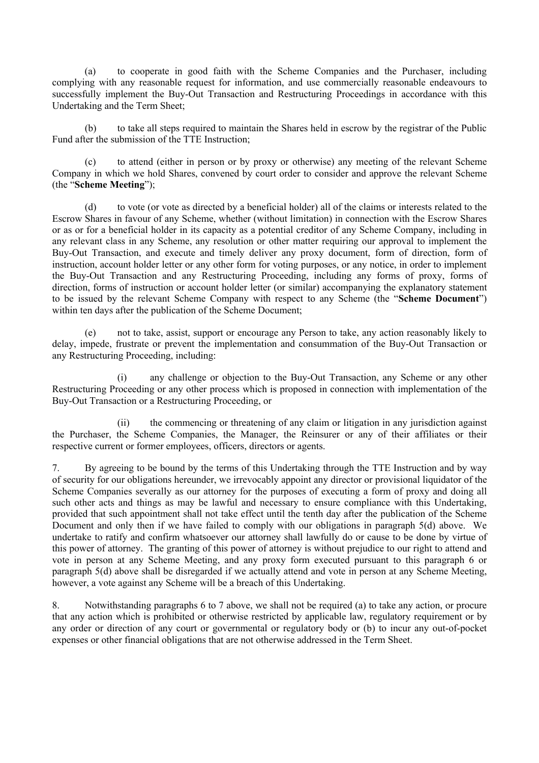(a) to cooperate in good faith with the Scheme Companies and the Purchaser, including complying with any reasonable request for information, and use commercially reasonable endeavours to successfully implement the Buy-Out Transaction and Restructuring Proceedings in accordance with this Undertaking and the Term Sheet;

(b) to take all steps required to maintain the Shares held in escrow by the registrar of the Public Fund after the submission of the TTE Instruction;

(c) to attend (either in person or by proxy or otherwise) any meeting of the relevant Scheme Company in which we hold Shares, convened by court order to consider and approve the relevant Scheme (the "**Scheme Meeting**");

(d) to vote (or vote as directed by a beneficial holder) all of the claims or interests related to the Escrow Shares in favour of any Scheme, whether (without limitation) in connection with the Escrow Shares or as or for a beneficial holder in its capacity as a potential creditor of any Scheme Company, including in any relevant class in any Scheme, any resolution or other matter requiring our approval to implement the Buy-Out Transaction, and execute and timely deliver any proxy document, form of direction, form of instruction, account holder letter or any other form for voting purposes, or any notice, in order to implement the Buy-Out Transaction and any Restructuring Proceeding, including any forms of proxy, forms of direction, forms of instruction or account holder letter (or similar) accompanying the explanatory statement to be issued by the relevant Scheme Company with respect to any Scheme (the "**Scheme Document**") within ten days after the publication of the Scheme Document;

(e) not to take, assist, support or encourage any Person to take, any action reasonably likely to delay, impede, frustrate or prevent the implementation and consummation of the Buy-Out Transaction or any Restructuring Proceeding, including:

(i) any challenge or objection to the Buy-Out Transaction, any Scheme or any other Restructuring Proceeding or any other process which is proposed in connection with implementation of the Buy-Out Transaction or a Restructuring Proceeding, or

(ii) the commencing or threatening of any claim or litigation in any jurisdiction against the Purchaser, the Scheme Companies, the Manager, the Reinsurer or any of their affiliates or their respective current or former employees, officers, directors or agents.

7. By agreeing to be bound by the terms of this Undertaking through the TTE Instruction and by way of security for our obligations hereunder, we irrevocably appoint any director or provisional liquidator of the Scheme Companies severally as our attorney for the purposes of executing a form of proxy and doing all such other acts and things as may be lawful and necessary to ensure compliance with this Undertaking, provided that such appointment shall not take effect until the tenth day after the publication of the Scheme Document and only then if we have failed to comply with our obligations in paragraph 5(d) above. We undertake to ratify and confirm whatsoever our attorney shall lawfully do or cause to be done by virtue of this power of attorney. The granting of this power of attorney is without prejudice to our right to attend and vote in person at any Scheme Meeting, and any proxy form executed pursuant to this paragraph 6 or paragraph 5(d) above shall be disregarded if we actually attend and vote in person at any Scheme Meeting, however, a vote against any Scheme will be a breach of this Undertaking.

8. Notwithstanding paragraphs 6 to 7 above, we shall not be required (a) to take any action, or procure that any action which is prohibited or otherwise restricted by applicable law, regulatory requirement or by any order or direction of any court or governmental or regulatory body or (b) to incur any out-of-pocket expenses or other financial obligations that are not otherwise addressed in the Term Sheet.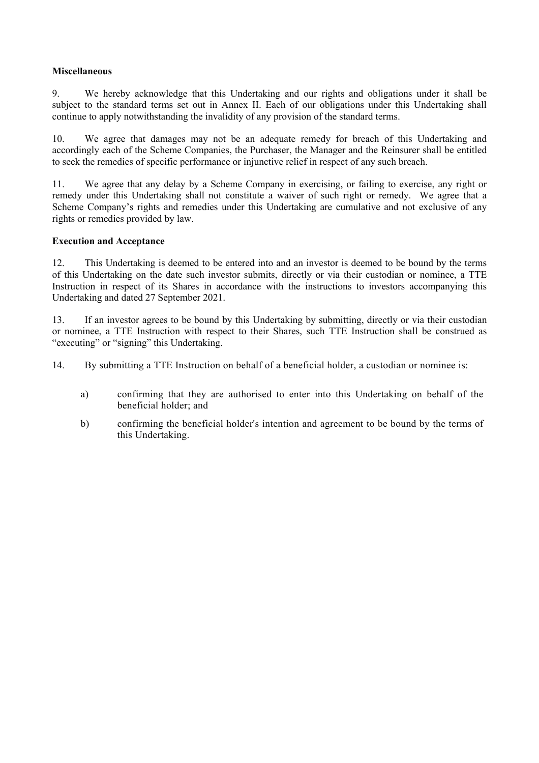## **Miscellaneous**

9. We hereby acknowledge that this Undertaking and our rights and obligations under it shall be subject to the standard terms set out in Annex II. Each of our obligations under this Undertaking shall continue to apply notwithstanding the invalidity of any provision of the standard terms.

10. We agree that damages may not be an adequate remedy for breach of this Undertaking and accordingly each of the Scheme Companies, the Purchaser, the Manager and the Reinsurer shall be entitled to seek the remedies of specific performance or injunctive relief in respect of any such breach.

11. We agree that any delay by a Scheme Company in exercising, or failing to exercise, any right or remedy under this Undertaking shall not constitute a waiver of such right or remedy. We agree that a Scheme Company's rights and remedies under this Undertaking are cumulative and not exclusive of any rights or remedies provided by law.

## **Execution and Acceptance**

12. This Undertaking is deemed to be entered into and an investor is deemed to be bound by the terms of this Undertaking on the date such investor submits, directly or via their custodian or nominee, a TTE Instruction in respect of its Shares in accordance with the instructions to investors accompanying this Undertaking and dated 27 September 2021.

13. If an investor agrees to be bound by this Undertaking by submitting, directly or via their custodian or nominee, a TTE Instruction with respect to their Shares, such TTE Instruction shall be construed as "executing" or "signing" this Undertaking.

14. By submitting a TTE Instruction on behalf of a beneficial holder, a custodian or nominee is:

- a) confirming that they are authorised to enter into this Undertaking on behalf of the beneficial holder; and
- b) confirming the beneficial holder's intention and agreement to be bound by the terms of this Undertaking.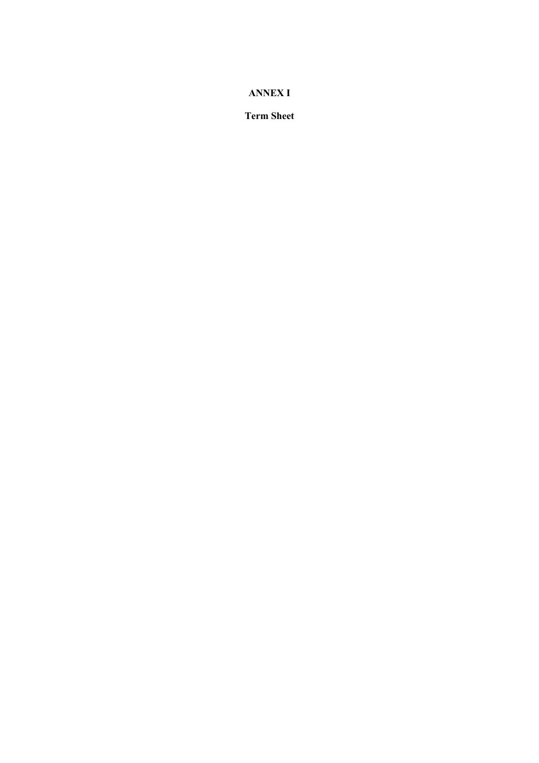## **ANNEX I**

**Term Sheet**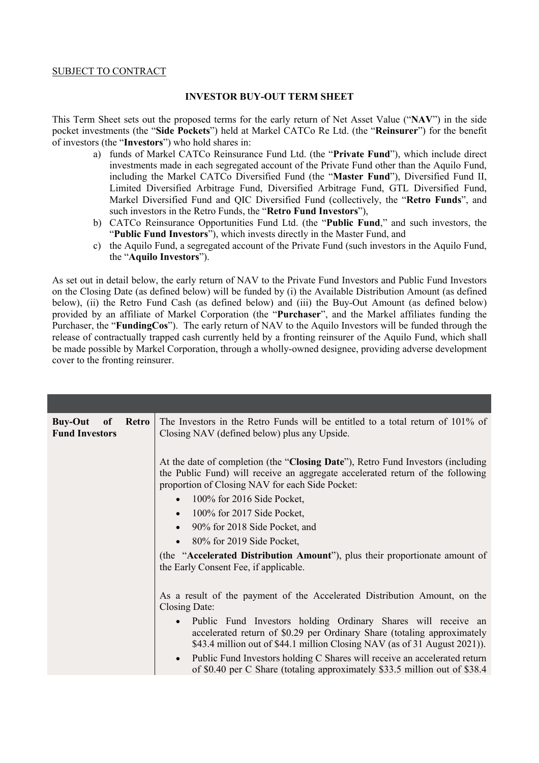#### SUBJECT TO CONTRACT

## **INVESTOR BUY-OUT TERM SHEET**

This Term Sheet sets out the proposed terms for the early return of Net Asset Value ("**NAV**") in the side pocket investments (the "**Side Pockets**") held at Markel CATCo Re Ltd. (the "**Reinsurer**") for the benefit of investors (the "**Investors**") who hold shares in:

- a) funds of Markel CATCo Reinsurance Fund Ltd. (the "**Private Fund**"), which include direct investments made in each segregated account of the Private Fund other than the Aquilo Fund, including the Markel CATCo Diversified Fund (the "**Master Fund**"), Diversified Fund II, Limited Diversified Arbitrage Fund, Diversified Arbitrage Fund, GTL Diversified Fund, Markel Diversified Fund and QIC Diversified Fund (collectively, the "**Retro Funds**", and such investors in the Retro Funds, the "**Retro Fund Investors**"),
- b) CATCo Reinsurance Opportunities Fund Ltd. (the "**Public Fund**," and such investors, the "**Public Fund Investors**"), which invests directly in the Master Fund, and
- c) the Aquilo Fund, a segregated account of the Private Fund (such investors in the Aquilo Fund, the "**Aquilo Investors**").

As set out in detail below, the early return of NAV to the Private Fund Investors and Public Fund Investors on the Closing Date (as defined below) will be funded by (i) the Available Distribution Amount (as defined below), (ii) the Retro Fund Cash (as defined below) and (iii) the Buy-Out Amount (as defined below) provided by an affiliate of Markel Corporation (the "**Purchaser**", and the Markel affiliates funding the Purchaser, the "**FundingCos**"). The early return of NAV to the Aquilo Investors will be funded through the release of contractually trapped cash currently held by a fronting reinsurer of the Aquilo Fund, which shall be made possible by Markel Corporation, through a wholly-owned designee, providing adverse development cover to the fronting reinsurer.

| <b>Buy-Out</b><br><b>Retro</b><br>of<br><b>Fund Investors</b> | The Investors in the Retro Funds will be entitled to a total return of 101% of<br>Closing NAV (defined below) plus any Upside.                                                                                        |
|---------------------------------------------------------------|-----------------------------------------------------------------------------------------------------------------------------------------------------------------------------------------------------------------------|
|                                                               | At the date of completion (the "Closing Date"), Retro Fund Investors (including<br>the Public Fund) will receive an aggregate accelerated return of the following<br>proportion of Closing NAV for each Side Pocket:  |
|                                                               | 100% for 2016 Side Pocket,                                                                                                                                                                                            |
|                                                               | 100% for 2017 Side Pocket,                                                                                                                                                                                            |
|                                                               | 90% for 2018 Side Pocket, and                                                                                                                                                                                         |
|                                                               | 80% for 2019 Side Pocket,                                                                                                                                                                                             |
|                                                               | (the "Accelerated Distribution Amount"), plus their proportionate amount of<br>the Early Consent Fee, if applicable.                                                                                                  |
|                                                               | As a result of the payment of the Accelerated Distribution Amount, on the<br>Closing Date:                                                                                                                            |
|                                                               | Public Fund Investors holding Ordinary Shares will receive an<br>accelerated return of \$0.29 per Ordinary Share (totaling approximately<br>\$43.4 million out of \$44.1 million Closing NAV (as of 31 August 2021)). |
|                                                               | Public Fund Investors holding C Shares will receive an accelerated return<br>$\bullet$<br>of \$0.40 per C Share (totaling approximately \$33.5 million out of \$38.4                                                  |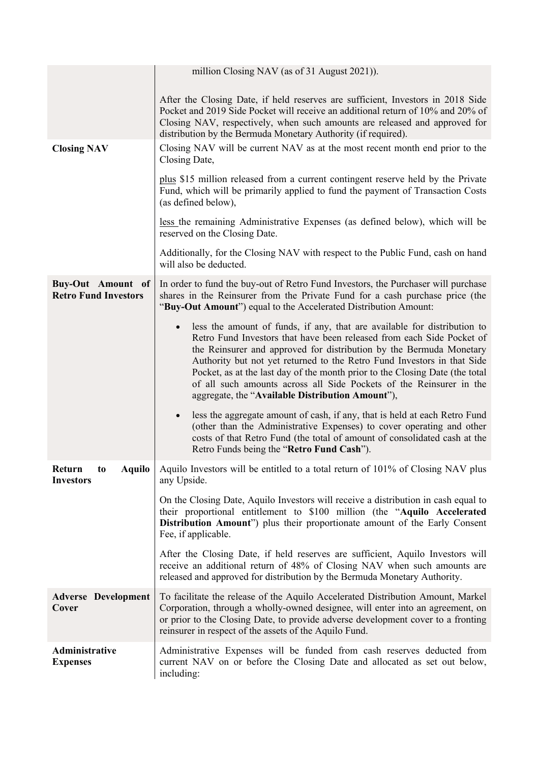|                                                         | million Closing NAV (as of 31 August 2021)).                                                                                                                                                                                                                                                                                                                                                                                                                                                                   |
|---------------------------------------------------------|----------------------------------------------------------------------------------------------------------------------------------------------------------------------------------------------------------------------------------------------------------------------------------------------------------------------------------------------------------------------------------------------------------------------------------------------------------------------------------------------------------------|
|                                                         | After the Closing Date, if held reserves are sufficient, Investors in 2018 Side<br>Pocket and 2019 Side Pocket will receive an additional return of 10% and 20% of<br>Closing NAV, respectively, when such amounts are released and approved for<br>distribution by the Bermuda Monetary Authority (if required).                                                                                                                                                                                              |
| <b>Closing NAV</b>                                      | Closing NAV will be current NAV as at the most recent month end prior to the<br>Closing Date,                                                                                                                                                                                                                                                                                                                                                                                                                  |
|                                                         | plus \$15 million released from a current contingent reserve held by the Private<br>Fund, which will be primarily applied to fund the payment of Transaction Costs<br>(as defined below),                                                                                                                                                                                                                                                                                                                      |
|                                                         | less the remaining Administrative Expenses (as defined below), which will be<br>reserved on the Closing Date.                                                                                                                                                                                                                                                                                                                                                                                                  |
|                                                         | Additionally, for the Closing NAV with respect to the Public Fund, cash on hand<br>will also be deducted.                                                                                                                                                                                                                                                                                                                                                                                                      |
| <b>Buy-Out Amount of</b><br><b>Retro Fund Investors</b> | In order to fund the buy-out of Retro Fund Investors, the Purchaser will purchase<br>shares in the Reinsurer from the Private Fund for a cash purchase price (the<br>"Buy-Out Amount") equal to the Accelerated Distribution Amount:                                                                                                                                                                                                                                                                           |
|                                                         | less the amount of funds, if any, that are available for distribution to<br>Retro Fund Investors that have been released from each Side Pocket of<br>the Reinsurer and approved for distribution by the Bermuda Monetary<br>Authority but not yet returned to the Retro Fund Investors in that Side<br>Pocket, as at the last day of the month prior to the Closing Date (the total<br>of all such amounts across all Side Pockets of the Reinsurer in the<br>aggregate, the "Available Distribution Amount"), |
|                                                         | less the aggregate amount of cash, if any, that is held at each Retro Fund<br>(other than the Administrative Expenses) to cover operating and other<br>costs of that Retro Fund (the total of amount of consolidated cash at the<br>Retro Funds being the "Retro Fund Cash").                                                                                                                                                                                                                                  |
| Return<br>to<br>Aquilo<br><b>Investors</b>              | Aquilo Investors will be entitled to a total return of 101% of Closing NAV plus<br>any Upside.                                                                                                                                                                                                                                                                                                                                                                                                                 |
|                                                         | On the Closing Date, Aquilo Investors will receive a distribution in cash equal to<br>their proportional entitlement to \$100 million (the "Aquilo Accelerated<br>Distribution Amount") plus their proportionate amount of the Early Consent<br>Fee, if applicable.                                                                                                                                                                                                                                            |
|                                                         | After the Closing Date, if held reserves are sufficient, Aquilo Investors will<br>receive an additional return of 48% of Closing NAV when such amounts are<br>released and approved for distribution by the Bermuda Monetary Authority.                                                                                                                                                                                                                                                                        |
| <b>Adverse Development</b><br>Cover                     | To facilitate the release of the Aquilo Accelerated Distribution Amount, Markel<br>Corporation, through a wholly-owned designee, will enter into an agreement, on<br>or prior to the Closing Date, to provide adverse development cover to a fronting<br>reinsurer in respect of the assets of the Aquilo Fund.                                                                                                                                                                                                |
| Administrative<br><b>Expenses</b>                       | Administrative Expenses will be funded from cash reserves deducted from<br>current NAV on or before the Closing Date and allocated as set out below,<br>including:                                                                                                                                                                                                                                                                                                                                             |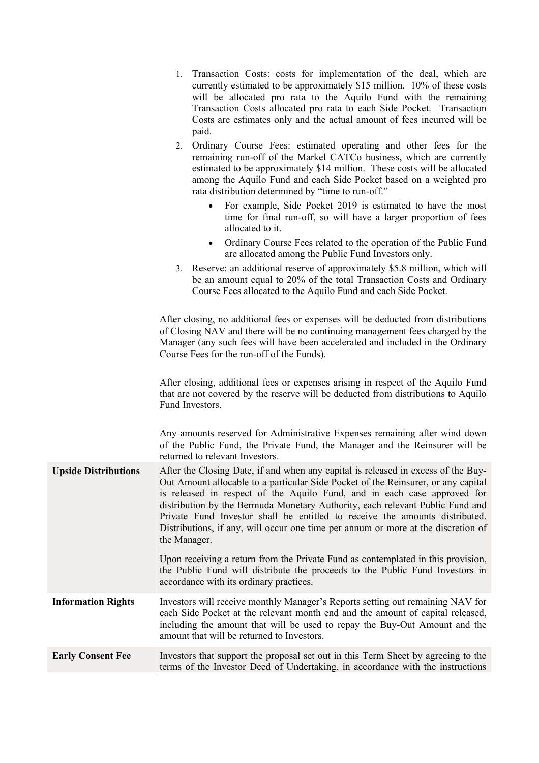|                             | 1. Transaction Costs: costs for implementation of the deal, which are<br>currently estimated to be approximately \$15 million. 10% of these costs<br>will be allocated pro rata to the Aquilo Fund with the remaining<br>Transaction Costs allocated pro rata to each Side Pocket. Transaction<br>Costs are estimates only and the actual amount of fees incurred will be<br>paid.<br>Ordinary Course Fees: estimated operating and other fees for the<br>2.<br>remaining run-off of the Markel CATCo business, which are currently<br>estimated to be approximately \$14 million. These costs will be allocated<br>among the Aquilo Fund and each Side Pocket based on a weighted pro<br>rata distribution determined by "time to run-off."<br>For example, Side Pocket 2019 is estimated to have the most<br>time for final run-off, so will have a larger proportion of fees<br>allocated to it.<br>Ordinary Course Fees related to the operation of the Public Fund<br>are allocated among the Public Fund Investors only.<br>3. Reserve: an additional reserve of approximately \$5.8 million, which will<br>be an amount equal to 20% of the total Transaction Costs and Ordinary<br>Course Fees allocated to the Aquilo Fund and each Side Pocket.<br>After closing, no additional fees or expenses will be deducted from distributions<br>of Closing NAV and there will be no continuing management fees charged by the<br>Manager (any such fees will have been accelerated and included in the Ordinary<br>Course Fees for the run-off of the Funds).<br>After closing, additional fees or expenses arising in respect of the Aquilo Fund |
|-----------------------------|-----------------------------------------------------------------------------------------------------------------------------------------------------------------------------------------------------------------------------------------------------------------------------------------------------------------------------------------------------------------------------------------------------------------------------------------------------------------------------------------------------------------------------------------------------------------------------------------------------------------------------------------------------------------------------------------------------------------------------------------------------------------------------------------------------------------------------------------------------------------------------------------------------------------------------------------------------------------------------------------------------------------------------------------------------------------------------------------------------------------------------------------------------------------------------------------------------------------------------------------------------------------------------------------------------------------------------------------------------------------------------------------------------------------------------------------------------------------------------------------------------------------------------------------------------------------------------------------------------------------------------------------------------|
|                             | that are not covered by the reserve will be deducted from distributions to Aquilo<br>Fund Investors.<br>Any amounts reserved for Administrative Expenses remaining after wind down<br>of the Public Fund, the Private Fund, the Manager and the Reinsurer will be<br>returned to relevant Investors.                                                                                                                                                                                                                                                                                                                                                                                                                                                                                                                                                                                                                                                                                                                                                                                                                                                                                                                                                                                                                                                                                                                                                                                                                                                                                                                                                |
| <b>Upside Distributions</b> | After the Closing Date, if and when any capital is released in excess of the Buy-<br>Out Amount allocable to a particular Side Pocket of the Reinsurer, or any capital<br>is released in respect of the Aquilo Fund, and in each case approved for<br>distribution by the Bermuda Monetary Authority, each relevant Public Fund and<br>Private Fund Investor shall be entitled to receive the amounts distributed.<br>Distributions, if any, will occur one time per annum or more at the discretion of<br>the Manager.                                                                                                                                                                                                                                                                                                                                                                                                                                                                                                                                                                                                                                                                                                                                                                                                                                                                                                                                                                                                                                                                                                                             |
|                             | Upon receiving a return from the Private Fund as contemplated in this provision,<br>the Public Fund will distribute the proceeds to the Public Fund Investors in<br>accordance with its ordinary practices.                                                                                                                                                                                                                                                                                                                                                                                                                                                                                                                                                                                                                                                                                                                                                                                                                                                                                                                                                                                                                                                                                                                                                                                                                                                                                                                                                                                                                                         |
| <b>Information Rights</b>   | Investors will receive monthly Manager's Reports setting out remaining NAV for<br>each Side Pocket at the relevant month end and the amount of capital released,<br>including the amount that will be used to repay the Buy-Out Amount and the<br>amount that will be returned to Investors.                                                                                                                                                                                                                                                                                                                                                                                                                                                                                                                                                                                                                                                                                                                                                                                                                                                                                                                                                                                                                                                                                                                                                                                                                                                                                                                                                        |
| <b>Early Consent Fee</b>    | Investors that support the proposal set out in this Term Sheet by agreeing to the<br>terms of the Investor Deed of Undertaking, in accordance with the instructions                                                                                                                                                                                                                                                                                                                                                                                                                                                                                                                                                                                                                                                                                                                                                                                                                                                                                                                                                                                                                                                                                                                                                                                                                                                                                                                                                                                                                                                                                 |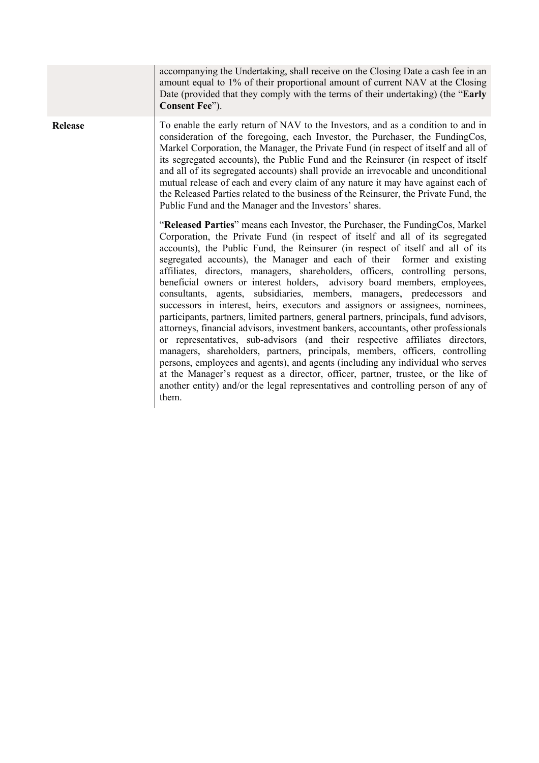accompanying the Undertaking, shall receive on the Closing Date a cash fee in an amount equal to 1% of their proportional amount of current NAV at the Closing Date (provided that they comply with the terms of their undertaking) (the "**Early Consent Fee**").

**Release** To enable the early return of NAV to the Investors, and as a condition to and in consideration of the foregoing, each Investor, the Purchaser, the FundingCos, Markel Corporation, the Manager, the Private Fund (in respect of itself and all of its segregated accounts), the Public Fund and the Reinsurer (in respect of itself and all of its segregated accounts) shall provide an irrevocable and unconditional mutual release of each and every claim of any nature it may have against each of the Released Parties related to the business of the Reinsurer, the Private Fund, the Public Fund and the Manager and the Investors' shares.

> "**Released Parties**" means each Investor, the Purchaser, the FundingCos, Markel Corporation, the Private Fund (in respect of itself and all of its segregated accounts), the Public Fund, the Reinsurer (in respect of itself and all of its segregated accounts), the Manager and each of their former and existing affiliates, directors, managers, shareholders, officers, controlling persons, beneficial owners or interest holders, advisory board members, employees, consultants, agents, subsidiaries, members, managers, predecessors and successors in interest, heirs, executors and assignors or assignees, nominees, participants, partners, limited partners, general partners, principals, fund advisors, attorneys, financial advisors, investment bankers, accountants, other professionals or representatives, sub-advisors (and their respective affiliates directors, managers, shareholders, partners, principals, members, officers, controlling persons, employees and agents), and agents (including any individual who serves at the Manager's request as a director, officer, partner, trustee, or the like of another entity) and/or the legal representatives and controlling person of any of them.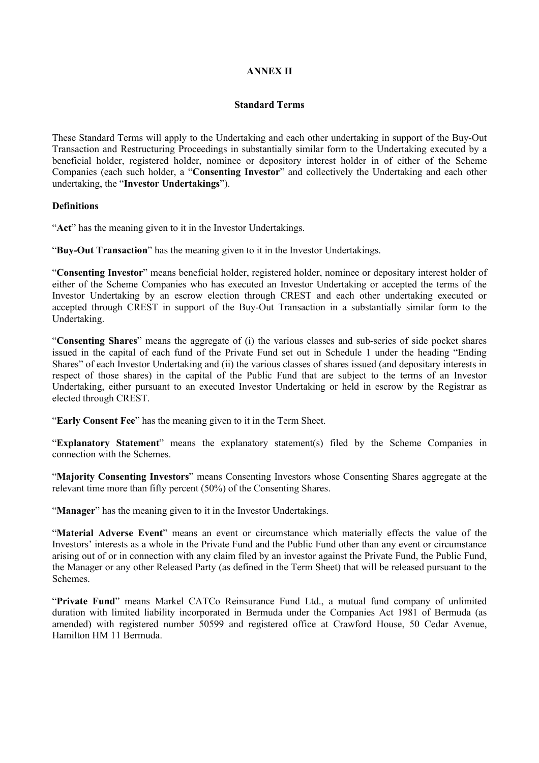## **ANNEX II**

## **Standard Terms**

These Standard Terms will apply to the Undertaking and each other undertaking in support of the Buy-Out Transaction and Restructuring Proceedings in substantially similar form to the Undertaking executed by a beneficial holder, registered holder, nominee or depository interest holder in of either of the Scheme Companies (each such holder, a "**Consenting Investor**" and collectively the Undertaking and each other undertaking, the "**Investor Undertakings**").

## **Definitions**

"**Act**" has the meaning given to it in the Investor Undertakings.

"**Buy-Out Transaction**" has the meaning given to it in the Investor Undertakings.

"**Consenting Investor**" means beneficial holder, registered holder, nominee or depositary interest holder of either of the Scheme Companies who has executed an Investor Undertaking or accepted the terms of the Investor Undertaking by an escrow election through CREST and each other undertaking executed or accepted through CREST in support of the Buy-Out Transaction in a substantially similar form to the Undertaking.

"**Consenting Shares**" means the aggregate of (i) the various classes and sub-series of side pocket shares issued in the capital of each fund of the Private Fund set out in Schedule 1 under the heading "Ending Shares" of each Investor Undertaking and (ii) the various classes of shares issued (and depositary interests in respect of those shares) in the capital of the Public Fund that are subject to the terms of an Investor Undertaking, either pursuant to an executed Investor Undertaking or held in escrow by the Registrar as elected through CREST.

"**Early Consent Fee**" has the meaning given to it in the Term Sheet.

"**Explanatory Statement**" means the explanatory statement(s) filed by the Scheme Companies in connection with the Schemes.

"**Majority Consenting Investors**" means Consenting Investors whose Consenting Shares aggregate at the relevant time more than fifty percent (50%) of the Consenting Shares.

"**Manager**" has the meaning given to it in the Investor Undertakings.

"**Material Adverse Event**" means an event or circumstance which materially effects the value of the Investors' interests as a whole in the Private Fund and the Public Fund other than any event or circumstance arising out of or in connection with any claim filed by an investor against the Private Fund, the Public Fund, the Manager or any other Released Party (as defined in the Term Sheet) that will be released pursuant to the Schemes.

"**Private Fund**" means Markel CATCo Reinsurance Fund Ltd., a mutual fund company of unlimited duration with limited liability incorporated in Bermuda under the Companies Act 1981 of Bermuda (as amended) with registered number 50599 and registered office at Crawford House, 50 Cedar Avenue, Hamilton HM 11 Bermuda.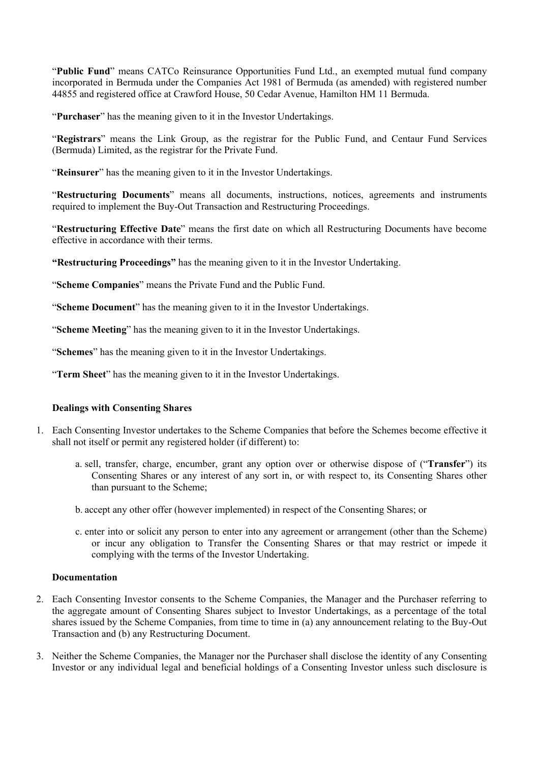"**Public Fund**" means CATCo Reinsurance Opportunities Fund Ltd., an exempted mutual fund company incorporated in Bermuda under the Companies Act 1981 of Bermuda (as amended) with registered number 44855 and registered office at Crawford House, 50 Cedar Avenue, Hamilton HM 11 Bermuda.

"**Purchaser**" has the meaning given to it in the Investor Undertakings.

"**Registrars**" means the Link Group, as the registrar for the Public Fund, and Centaur Fund Services (Bermuda) Limited, as the registrar for the Private Fund.

"**Reinsurer**" has the meaning given to it in the Investor Undertakings.

"**Restructuring Documents**" means all documents, instructions, notices, agreements and instruments required to implement the Buy-Out Transaction and Restructuring Proceedings.

"**Restructuring Effective Date**" means the first date on which all Restructuring Documents have become effective in accordance with their terms.

**"Restructuring Proceedings"** has the meaning given to it in the Investor Undertaking.

"**Scheme Companies**" means the Private Fund and the Public Fund.

"**Scheme Document**" has the meaning given to it in the Investor Undertakings.

"**Scheme Meeting**" has the meaning given to it in the Investor Undertakings.

"**Schemes**" has the meaning given to it in the Investor Undertakings.

"**Term Sheet**" has the meaning given to it in the Investor Undertakings.

# **Dealings with Consenting Shares**

- 1. Each Consenting Investor undertakes to the Scheme Companies that before the Schemes become effective it shall not itself or permit any registered holder (if different) to:
	- a. sell, transfer, charge, encumber, grant any option over or otherwise dispose of ("**Transfer**") its Consenting Shares or any interest of any sort in, or with respect to, its Consenting Shares other than pursuant to the Scheme;
	- b. accept any other offer (however implemented) in respect of the Consenting Shares; or
	- c. enter into or solicit any person to enter into any agreement or arrangement (other than the Scheme) or incur any obligation to Transfer the Consenting Shares or that may restrict or impede it complying with the terms of the Investor Undertaking.

## **Documentation**

- 2. Each Consenting Investor consents to the Scheme Companies, the Manager and the Purchaser referring to the aggregate amount of Consenting Shares subject to Investor Undertakings, as a percentage of the total shares issued by the Scheme Companies, from time to time in (a) any announcement relating to the Buy-Out Transaction and (b) any Restructuring Document.
- 3. Neither the Scheme Companies, the Manager nor the Purchaser shall disclose the identity of any Consenting Investor or any individual legal and beneficial holdings of a Consenting Investor unless such disclosure is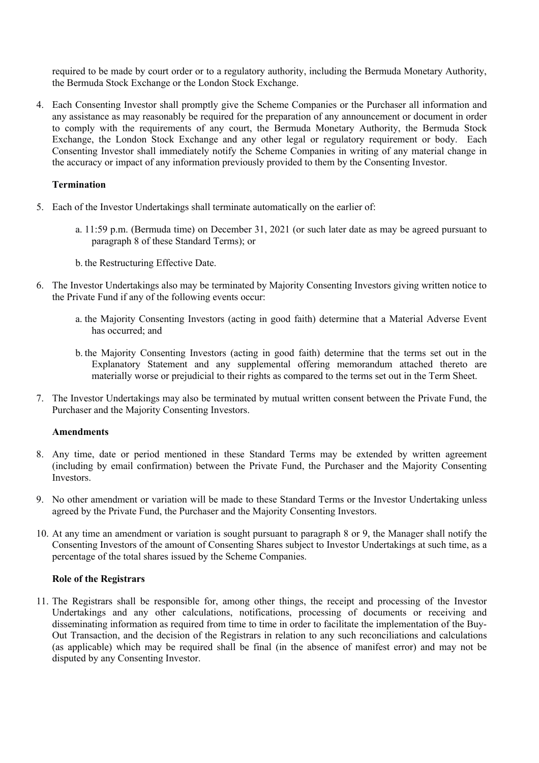required to be made by court order or to a regulatory authority, including the Bermuda Monetary Authority, the Bermuda Stock Exchange or the London Stock Exchange.

4. Each Consenting Investor shall promptly give the Scheme Companies or the Purchaser all information and any assistance as may reasonably be required for the preparation of any announcement or document in order to comply with the requirements of any court, the Bermuda Monetary Authority, the Bermuda Stock Exchange, the London Stock Exchange and any other legal or regulatory requirement or body. Each Consenting Investor shall immediately notify the Scheme Companies in writing of any material change in the accuracy or impact of any information previously provided to them by the Consenting Investor.

## **Termination**

- 5. Each of the Investor Undertakings shall terminate automatically on the earlier of:
	- a. 11:59 p.m. (Bermuda time) on December 31, 2021 (or such later date as may be agreed pursuant to paragraph 8 of these Standard Terms); or
	- b. the Restructuring Effective Date.
- 6. The Investor Undertakings also may be terminated by Majority Consenting Investors giving written notice to the Private Fund if any of the following events occur:
	- a. the Majority Consenting Investors (acting in good faith) determine that a Material Adverse Event has occurred; and
	- b. the Majority Consenting Investors (acting in good faith) determine that the terms set out in the Explanatory Statement and any supplemental offering memorandum attached thereto are materially worse or prejudicial to their rights as compared to the terms set out in the Term Sheet.
- 7. The Investor Undertakings may also be terminated by mutual written consent between the Private Fund, the Purchaser and the Majority Consenting Investors.

## **Amendments**

- 8. Any time, date or period mentioned in these Standard Terms may be extended by written agreement (including by email confirmation) between the Private Fund, the Purchaser and the Majority Consenting Investors.
- 9. No other amendment or variation will be made to these Standard Terms or the Investor Undertaking unless agreed by the Private Fund, the Purchaser and the Majority Consenting Investors.
- 10. At any time an amendment or variation is sought pursuant to paragraph 8 or 9, the Manager shall notify the Consenting Investors of the amount of Consenting Shares subject to Investor Undertakings at such time, as a percentage of the total shares issued by the Scheme Companies.

## **Role of the Registrars**

11. The Registrars shall be responsible for, among other things, the receipt and processing of the Investor Undertakings and any other calculations, notifications, processing of documents or receiving and disseminating information as required from time to time in order to facilitate the implementation of the Buy-Out Transaction, and the decision of the Registrars in relation to any such reconciliations and calculations (as applicable) which may be required shall be final (in the absence of manifest error) and may not be disputed by any Consenting Investor.